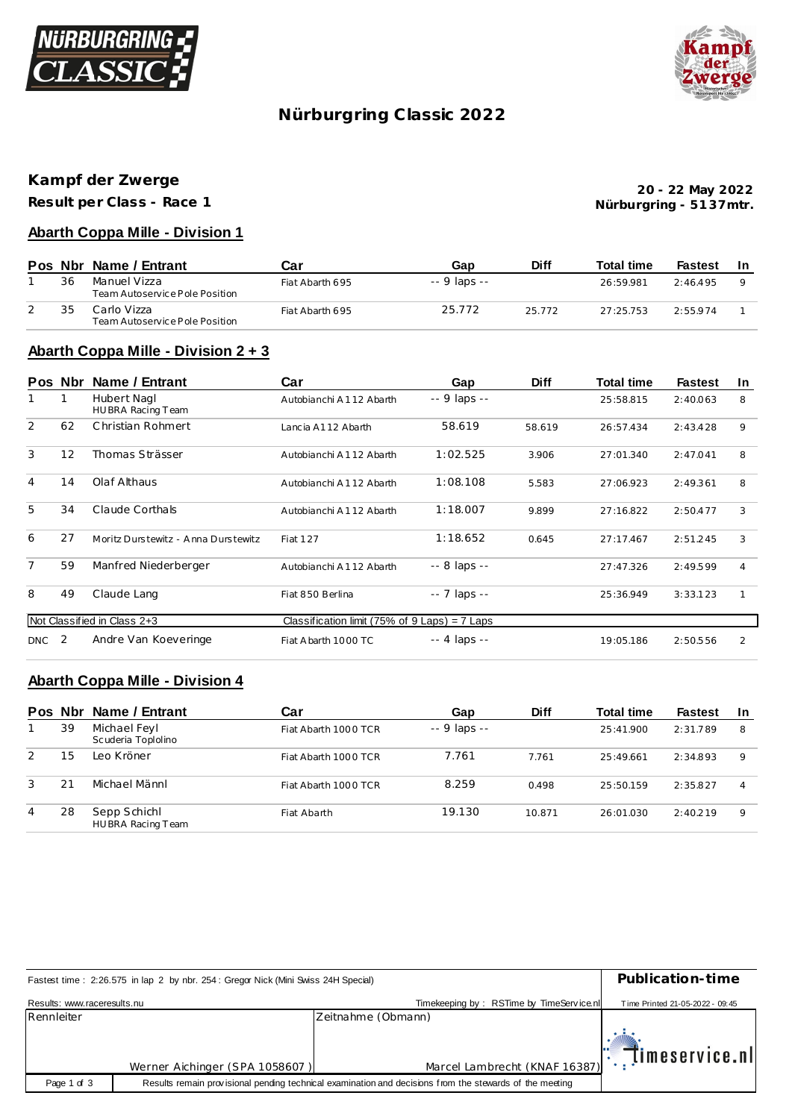



## **Nürburgring C lassic 2022**

# **Kampf der Zwerge**

**Result per Class - Race 1**

**Nürburgring - 51 37mtr. 20 - 22 May 2022**

#### **Abarth Coppa Mille - Division 1**

|    | Pos Nbr Name / Entrant                         | Car             | Gap          | <b>Diff</b> | <b>Total time</b> | Fastest | -In |
|----|------------------------------------------------|-----------------|--------------|-------------|-------------------|---------|-----|
| 36 | Manuel Vizza<br>Team Autoservice Pole Position | Fiat Abarth 695 | -- 9 laps -- |             | 26:59.981         | 2.46495 |     |
| 35 | Carlo Vizza<br>Team Autoservice Pole Position  | Fiat Abarth 695 | 25.772       | 25 7 7 2    | 27.25753          | 2.55974 |     |

#### **Abarth Coppa Mille - Division 2 + 3**

|                | Pos Nbr | Name / Entrant                      | Car                                             | Gap                | <b>Diff</b> | Total time | <b>Fastest</b> | In. |
|----------------|---------|-------------------------------------|-------------------------------------------------|--------------------|-------------|------------|----------------|-----|
|                | 1       | Hubert Nagl<br>HUBRA Racing Team    | Autobianchi A112 Abarth                         | -- 9 laps --       |             | 25:58.815  | 2:40.063       | 8   |
| 2              | 62      | Christian Rohmert                   | Lancia A112 Abarth                              | 58.619             | 58.619      | 26:57.434  | 2:43.428       | 9   |
| 3              | 12      | Thomas Strässer                     | Autobianchi A112 Abarth                         | 1:02.525           | 3.906       | 27:01.340  | 2:47.041       | 8   |
| $\overline{4}$ | 14      | Olaf Althaus                        | Autobianchi A112 Abarth                         | 1:08.108           | 5.583       | 27:06.923  | 2:49.361       | 8   |
| 5              | 34      | Claude Corthals                     | Autobianchi A112 Abarth                         | 1:18.007           | 9.899       | 27:16.822  | 2:50.477       | 3   |
| 6              | 27      | Moritz Durstewitz - Anna Durstewitz | <b>Fiat 127</b>                                 | 1:18.652           | 0.645       | 27:17.467  | 2:51.245       | 3   |
| $\overline{7}$ | 59      | Manfred Niederberger                | Autobianchi A112 Abarth                         | -- 8 laps --       |             | 27:47.326  | 2:49.599       | 4   |
| 8              | 49      | Claude Lang                         | Fiat 850 Berlina                                | $- - 7$ laps $- -$ |             | 25:36.949  | 3:33.123       | 1   |
|                |         | Not Classified in Class 2+3         | Classification limit (75% of $9$ Laps) = 7 Laps |                    |             |            |                |     |
| <b>DNC</b>     | -2      | Andre Van Koeveringe                | Fiat A barth 1000 TC                            | -- 4 laps --       |             | 19:05.186  | 2:50.556       | 2   |

#### **Abarth Coppa Mille - Division 4**

|   |    | Pos Nbr Name / Entrant             | Car                  | Gap           | <b>Diff</b> | <b>Total time</b> | <b>Fastest</b> | -In         |
|---|----|------------------------------------|----------------------|---------------|-------------|-------------------|----------------|-------------|
|   | 39 | Michael Feyl<br>Scuderia Toplolino | Fiat Abarth 1000 TCR | $-9$ laps $-$ |             | 25:41.900         | 2:31.789       | 8           |
| 2 | 15 | Leo Kröner                         | Fiat Abarth 1000 TCR | 7.761         | 7.761       | 25:49.661         | 2:34.893       | $\mathsf Q$ |
| 3 | 21 | Michael Männl                      | Fiat Abarth 1000 TCR | 8.259         | 0.498       | 25:50.159         | 2:35.827       | 4           |
| 4 | 28 | Sepp Schichl<br>HUBRA Racing Team  | Fiat Abarth          | 19.130        | 10.871      | 26:01.030         | 2:40.219       | 9           |

| Fastest time: 2:26.575 in lap 2 by nbr. 254: Gregor Nick (Mini Swiss 24H Special) | Publication-time               |                                                                                                         |                                                                             |  |  |  |
|-----------------------------------------------------------------------------------|--------------------------------|---------------------------------------------------------------------------------------------------------|-----------------------------------------------------------------------------|--|--|--|
| Results: www.raceresults.nu                                                       |                                | Timekeeping by: RSTime by TimeService.nll                                                               | Time Printed 21-05-2022 - 09:45                                             |  |  |  |
| Rennleiter                                                                        |                                | Zeitnahme (Obmann)                                                                                      |                                                                             |  |  |  |
|                                                                                   | Werner Aichinger (SPA 1058607) | Marcel Lambrecht (KNAF 16387)                                                                           | $\left\Vert \cdot\right\Vert$ , $\left\Vert \cdot\right\Vert$ imeservice.nl |  |  |  |
| Page 1 of 3                                                                       |                                | Results remain provisional pending technical examination and decisions from the stewards of the meeting |                                                                             |  |  |  |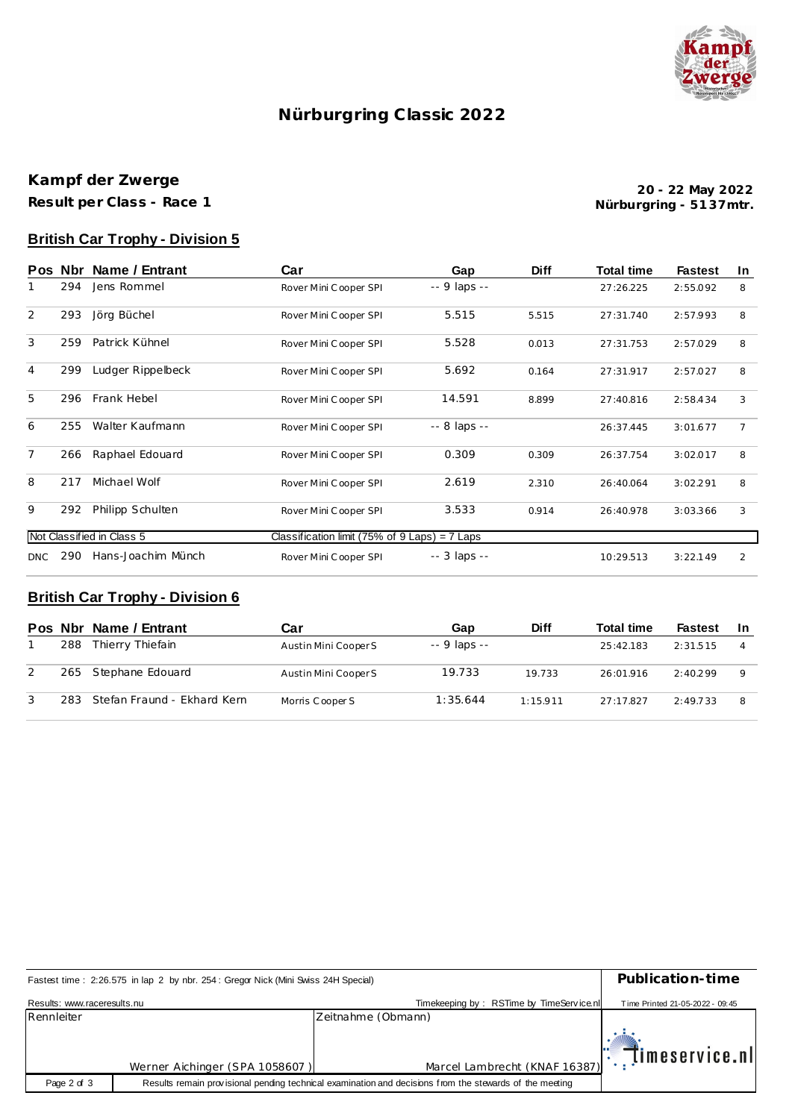

## **Nürburgring C lassic 2022**

### **Kampf der Zwerge Result per Class - Race 1**

**Nürburgring - 51 37mtr. 20 - 22 May 2022**

### **British Car Trophy - Division 5**

| <b>Pos</b>                | Nbr . | Name / Entrant     | Car                                             | Gap          | <b>Diff</b> | <b>Total time</b> | <b>Fastest</b> | In.            |
|---------------------------|-------|--------------------|-------------------------------------------------|--------------|-------------|-------------------|----------------|----------------|
|                           | 294   | Jens Rommel        | Rover Mini Cooper SPI                           | -- 9 laps -- |             | 27:26.225         | 2:55.092       | 8              |
| 2                         | 293   | Jörg Büchel        | Rover Mini Cooper SPI                           | 5.515        | 5.515       | 27:31.740         | 2:57.993       | 8              |
| 3                         | 259   | Patrick Kühnel     | Rover Mini Cooper SPI                           | 5.528        | 0.013       | 27:31.753         | 2:57.029       | 8              |
| $\overline{4}$            | 299   | Ludger Rippelbeck  | Rover Mini Cooper SPI                           | 5.692        | 0.164       | 27:31.917         | 2:57.027       | 8              |
| 5                         | 296   | Frank Hebel        | Rover Mini Cooper SPI                           | 14.591       | 8.899       | 27:40.816         | 2:58.434       | 3              |
| 6                         | 255   | Walter Kaufmann    | Rover Mini Cooper SPI                           | -- 8 laps -- |             | 26:37.445         | 3:01.677       | $\overline{7}$ |
| $\overline{7}$            | 266   | Raphael Edouard    | Rover Mini Cooper SPI                           | 0.309        | 0.309       | 26:37.754         | 3:02.017       | 8              |
| 8                         | 217   | Michael Wolf       | Rover Mini Cooper SPI                           | 2.619        | 2.310       | 26:40.064         | 3:02.291       | 8              |
| 9                         | 292   | Philipp Schulten   | Rover Mini Cooper SPI                           | 3.533        | 0.914       | 26:40.978         | 3:03.366       | 3              |
| Not Classified in Class 5 |       |                    | Classification limit (75% of $9$ Laps) = 7 Laps |              |             |                   |                |                |
| DNC.                      | 290   | Hans-Joachim Münch | Rover Mini Cooper SPI                           | -- 3 laps -- |             | 10:29.513         | 3:22.149       | 2              |

### **British Car Trophy - Division 6**

|     | Pos Nbr Name / Entrant      | Car                  | Gap          | <b>Diff</b> | <b>Total time</b> | Fastest  | <b>In</b>      |
|-----|-----------------------------|----------------------|--------------|-------------|-------------------|----------|----------------|
| 288 | Thierry Thiefain            | Austin Mini Cooper S | -- 9 laps -- |             | 25:42.183         | 2:31.515 | $\overline{4}$ |
|     | 265 Stephane Edouard        | Austin Mini Cooper S | 19.733       | 19.733      | 26:01.916         | 2:40.299 | Q              |
| 283 | Stefan Fraund - Ekhard Kern | Morris Cooper S      | 1:35.644     | 1.15911     | 27.17827          | 2:49.733 | 8              |

| Fastest time: 2:26.575 in lap 2 by nbr. 254: Gregor Nick (Mini Swiss 24H Special) | Publication-time                                                                                        |                                               |                                 |  |  |
|-----------------------------------------------------------------------------------|---------------------------------------------------------------------------------------------------------|-----------------------------------------------|---------------------------------|--|--|
| Results: www.raceresults.nu                                                       |                                                                                                         | Timekeeping by: RSTime by TimeService.nl      | Time Printed 21-05-2022 - 09:45 |  |  |
| Rennleiter                                                                        |                                                                                                         | Zeitnahme (Obmann)                            |                                 |  |  |
|                                                                                   | Werner Aichinger (SPA 1058607)                                                                          | Marcel Lambrecht (KNAF 16387): [Imeservice.nl |                                 |  |  |
| Page 2 of 3                                                                       | Results remain provisional pending technical examination and decisions from the stewards of the meeting |                                               |                                 |  |  |